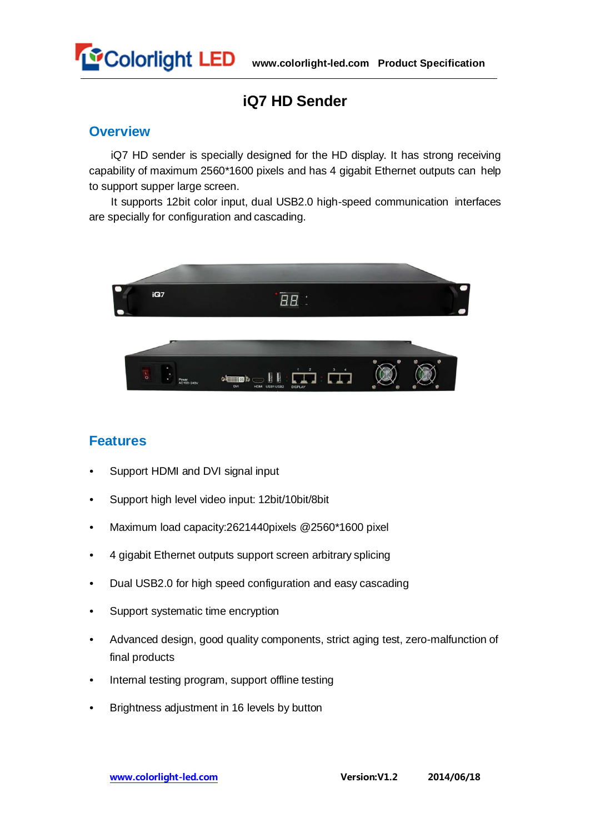

### **iQ7 HD Sender**

#### **Overview**

iQ7 HD sender is specially designed for the HD display. It has strong receiving capability of maximum 2560\*1600 pixels and has 4 gigabit Ethernet outputs can help to support supper large screen.

It supports 12bit color input, dual USB2.0 high-speed communication interfaces are specially for configuration and cascading.



#### **Features**

- Support HDMI and DVI signal input
- Support high level video input: 12bit/10bit/8bit
- Maximum load capacity:2621440pixels @2560\*1600 pixel
- 4 gigabit Ethernet outputs support screen arbitrary splicing
- Dual USB2.0 for high speed configuration and easy cascading
- Support systematic time encryption
- Advanced design, good quality components, strict aging test, zero-malfunction of final products
- Internal testing program, support offline testing
- Brightness adjustment in 16 levels by button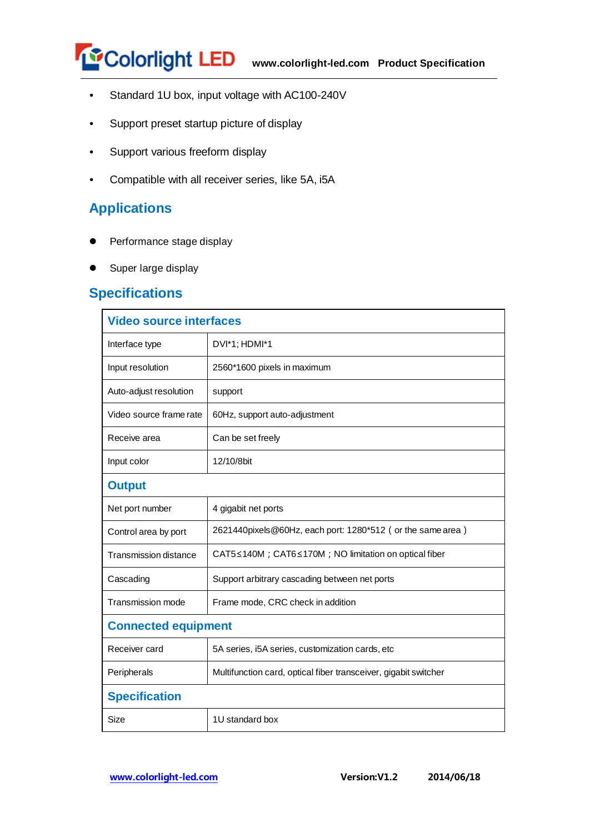

- Standard 1U box, input voltage with AC100-240V
- Support preset startup picture of display
- Support various freeform display
- Compatible with all receiver series, like 5A, i5A

#### **Applications**

- Performance stage display
- **Super large display**

#### **Specifications**

| <b>Video source interfaces</b> |                                                                    |  |  |
|--------------------------------|--------------------------------------------------------------------|--|--|
| Interface type                 | DVI*1; HDMI*1                                                      |  |  |
| Input resolution               | 2560*1600 pixels in maximum                                        |  |  |
| Auto-adjust resolution         | support                                                            |  |  |
| Video source frame rate        | 60Hz, support auto-adjustment                                      |  |  |
| Receive area                   | Can be set freely                                                  |  |  |
| Input color                    | 12/10/8bit                                                         |  |  |
| <b>Output</b>                  |                                                                    |  |  |
| Net port number                | 4 gigabit net ports                                                |  |  |
| Control area by port           | 2621440 pixels @60Hz, each port: 1280*512 (or the same area)       |  |  |
| <b>Transmission distance</b>   | $CAT5 \le 140M$ ; $CAT6 \le 170M$ ; NO limitation on optical fiber |  |  |
| Cascading                      | Support arbitrary cascading between net ports                      |  |  |
| <b>Transmission mode</b>       | Frame mode, CRC check in addition                                  |  |  |
| <b>Connected equipment</b>     |                                                                    |  |  |
| Receiver card                  | 5A series, i5A series, customization cards, etc                    |  |  |
| Peripherals                    | Multifunction card, optical fiber transceiver, gigabit switcher    |  |  |
| <b>Specification</b>           |                                                                    |  |  |
| Size                           | 1U standard box                                                    |  |  |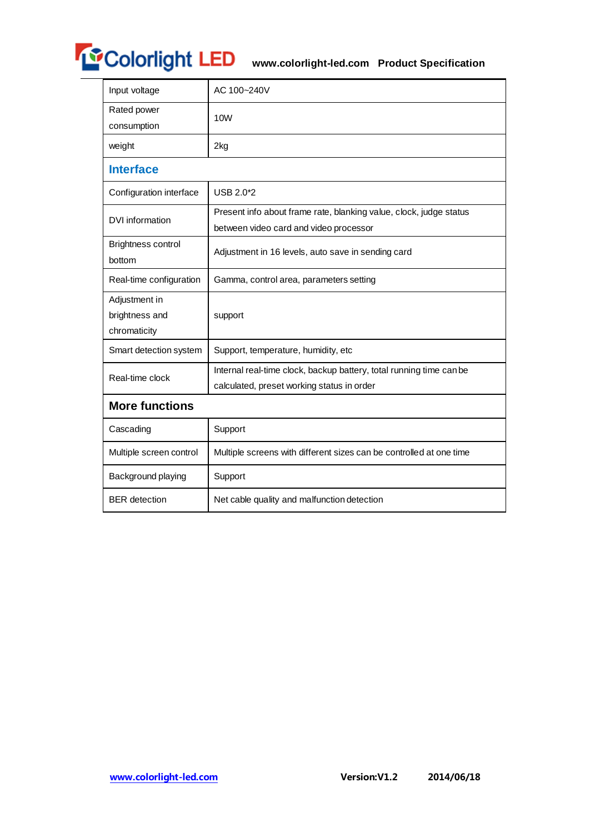# **WColorlight LED** www.colorlight-led.com Product Specification

| Input voltage                                   | AC 100~240V                                                                                                       |  |  |  |
|-------------------------------------------------|-------------------------------------------------------------------------------------------------------------------|--|--|--|
| Rated power<br>consumption                      | 10 <sub>W</sub>                                                                                                   |  |  |  |
| weight                                          | 2kg                                                                                                               |  |  |  |
| <b>Interface</b>                                |                                                                                                                   |  |  |  |
| Configuration interface                         | USB 2.0*2                                                                                                         |  |  |  |
| DVI information                                 | Present info about frame rate, blanking value, clock, judge status<br>between video card and video processor      |  |  |  |
| <b>Brightness control</b><br>bottom             | Adjustment in 16 levels, auto save in sending card                                                                |  |  |  |
| Real-time configuration                         | Gamma, control area, parameters setting                                                                           |  |  |  |
| Adjustment in<br>brightness and<br>chromaticity | support                                                                                                           |  |  |  |
| Smart detection system                          | Support, temperature, humidity, etc                                                                               |  |  |  |
| Real-time clock                                 | Internal real-time clock, backup battery, total running time can be<br>calculated, preset working status in order |  |  |  |
| <b>More functions</b>                           |                                                                                                                   |  |  |  |
| Cascading                                       | Support                                                                                                           |  |  |  |
| Multiple screen control                         | Multiple screens with different sizes can be controlled at one time                                               |  |  |  |
| Background playing                              | Support                                                                                                           |  |  |  |
| <b>BER</b> detection                            | Net cable quality and malfunction detection                                                                       |  |  |  |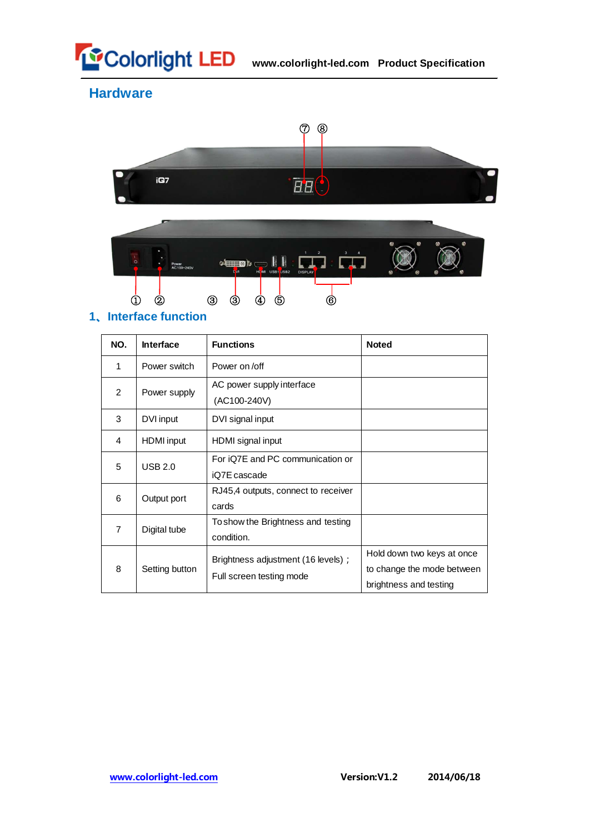

**Hardware**



## **1、Interface function**

| NO.            | <b>Interface</b>  | <b>Functions</b>                                               | <b>Noted</b>                                                                       |
|----------------|-------------------|----------------------------------------------------------------|------------------------------------------------------------------------------------|
| 1              | Power switch      | Power on /off                                                  |                                                                                    |
| 2              | Power supply      | AC power supply interface<br>(AC100-240V)                      |                                                                                    |
| 3              | DVI input         | DVI signal input                                               |                                                                                    |
| 4              | <b>HDMI</b> input | HDMI signal input                                              |                                                                                    |
| 5              | USB 2.0           | For iQ7E and PC communication or<br>iQ7E cascade               |                                                                                    |
| 6              | Output port       | RJ45,4 outputs, connect to receiver<br>cards                   |                                                                                    |
| $\overline{7}$ | Digital tube      | To show the Brightness and testing<br>condition.               |                                                                                    |
| 8              | Setting button    | Brightness adjustment (16 levels);<br>Full screen testing mode | Hold down two keys at once<br>to change the mode between<br>brightness and testing |